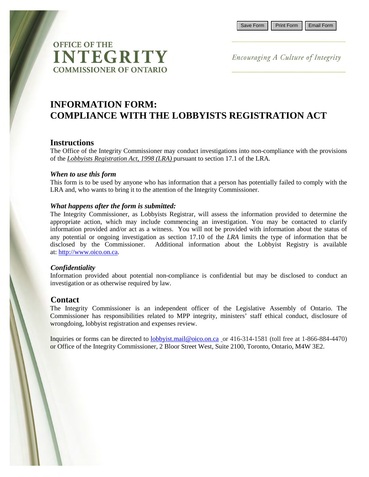# **OFFICE OF THE INTEGRITY COMMISSIONER OF ONTARIO**

Encouraging A Culture of Integrity

## **INFORMATION FORM: COMPLIANCE WITH THE LOBBYISTS REGISTRATION ACT**

#### **Instructions**

The Office of the Integrity Commissioner may conduct investigations into non-compliance with the provisions of the *Lobbyists Registration Act, 1998 (LRA)* pursuant to section 17.1 of the LRA*.* 

#### *When to use this form*

This form is to be used by anyone who has information that a person has potentially failed to comply with the LRA and, who wants to bring it to the attention of the Integrity Commissioner.

#### *What happens after the form is submitted:*

The Integrity Commissioner, as Lobbyists Registrar, will assess the information provided to determine the appropriate action, which may include commencing an investigation. You may be contacted to clarify information provided and/or act as a witness. You will not be provided with information about the status of any potential or ongoing investigation as section 17.10 of the *LRA* limits the type of information that be disclosed by the Commissioner. Additional information about the Lobbyist Registry is available at: [http://www.oico.on.ca.](http://www.oico.on.ca/)

#### *Confidentiality*

Information provided about potential non-compliance is confidential but may be disclosed to conduct an investigation or as otherwise required by law.

#### **Contact**

The Integrity Commissioner is an independent officer of the Legislative Assembly of Ontario. The Commissioner has responsibilities related to MPP integrity, ministers' staff ethical conduct, disclosure of wrongdoing, lobbyist registration and expenses review.

Inquiries or forms can be directed to [lobbyist.mail@oico.on.ca](mailto:lobbyist.mail@oico.on.ca) or 416-314-1581 (toll free at 1-866-884-4470) or Office of the Integrity Commissioner, 2 Bloor Street West, Suite 2100, Toronto, Ontario, M4W 3E2.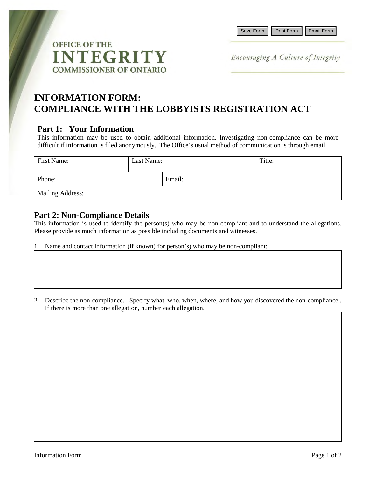

Encouraging A Culture of Integrity

## **INFORMATION FORM: COMPLIANCE WITH THE LOBBYISTS REGISTRATION ACT**

## **Part 1: Your Information**

This information may be used to obtain additional information. Investigating non-compliance can be more difficult if information is filed anonymously. The Office's usual method of communication is through email.

| First Name:             | Last Name: |        | Title: |  |  |  |
|-------------------------|------------|--------|--------|--|--|--|
| Phone:                  |            | Email: |        |  |  |  |
| <b>Mailing Address:</b> |            |        |        |  |  |  |

## **Part 2: Non-Compliance Details**

This information is used to identify the person(s) who may be non-compliant and to understand the allegations. Please provide as much information as possible including documents and witnesses.

- 1. Name and contact information (if known) for person(s) who may be non-compliant:
- 2. Describe the non-compliance. Specify what, who, when, where, and how you discovered the non-compliance.. If there is more than one allegation, number each allegation.